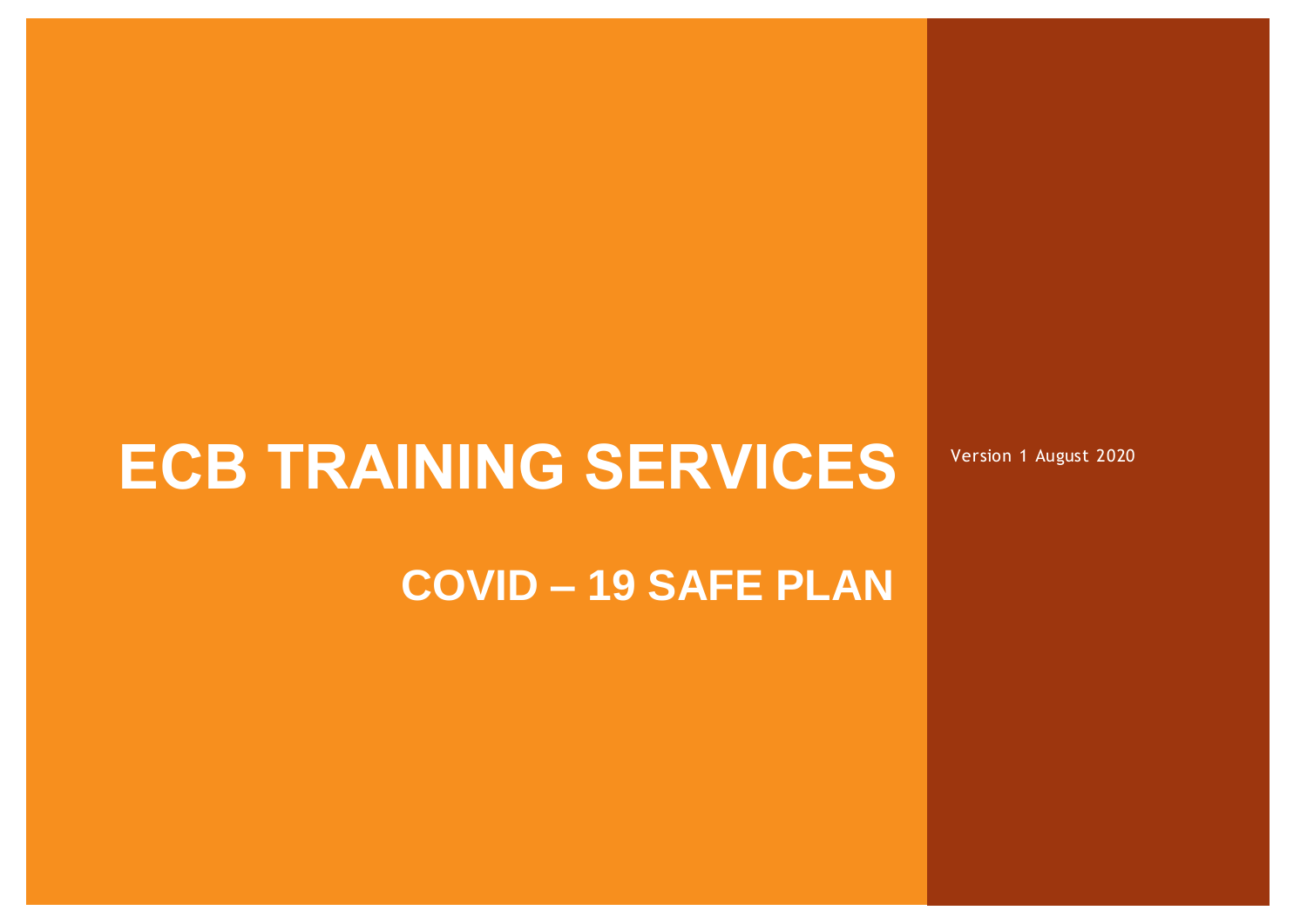# **ECB TRAINING SERVICES**

**COVID – 19 SAFE PLAN**

Owner: *Chief Executive* Revision: V4 Authorisation: *Chief Executive* Page 0 of 14 Date: August 2020

Version 1 August 2020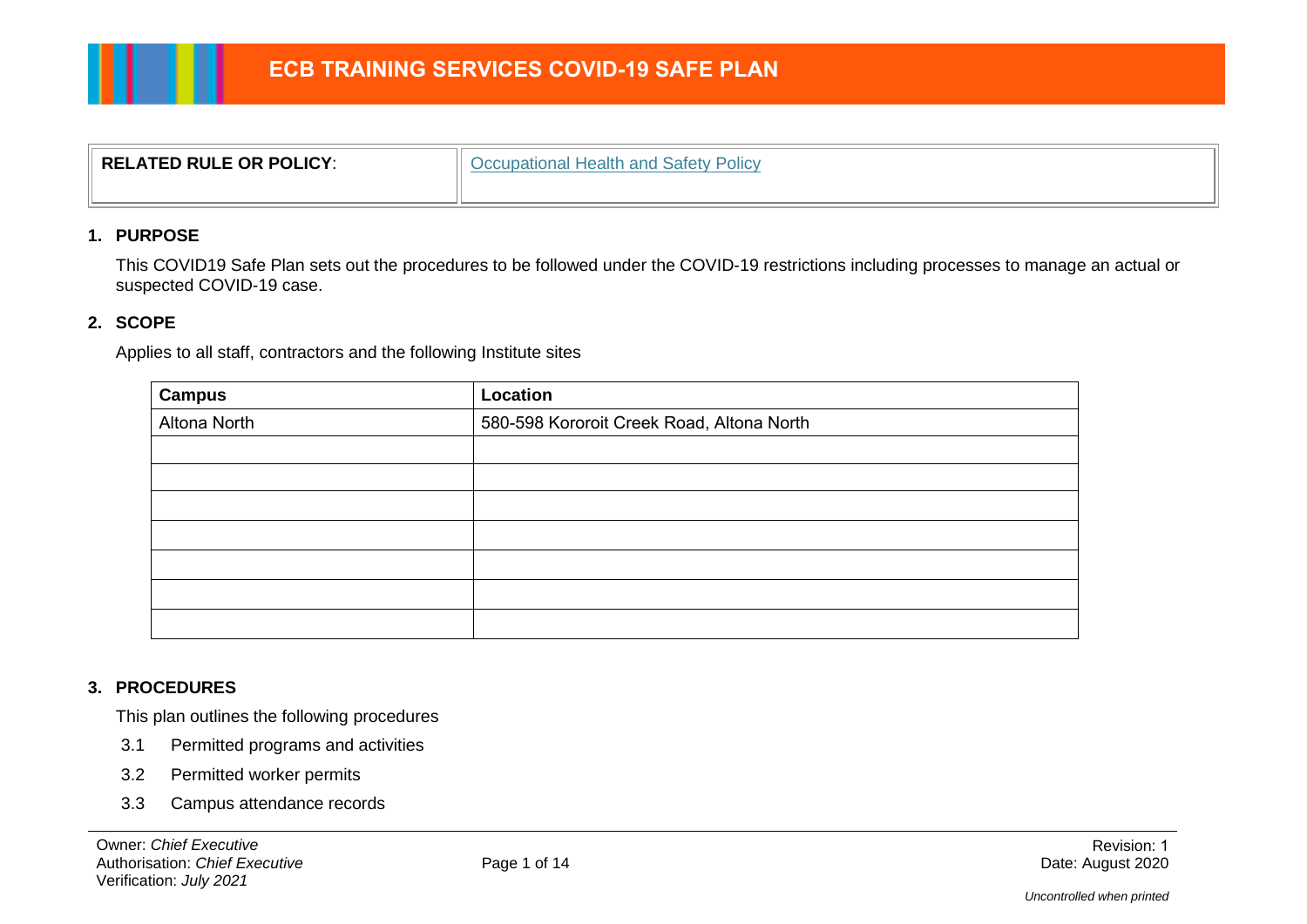| $^{\circ}$ RELATED RULE OR POLICY: | Occupational Health and Safety Policy |
|------------------------------------|---------------------------------------|
|                                    |                                       |

#### **1. PURPOSE**

This COVID19 Safe Plan sets out the procedures to be followed under the COVID-19 restrictions including processes to manage an actual or suspected COVID-19 case.

#### **2. SCOPE**

Applies to all staff, contractors and the following Institute sites

| <b>Campus</b> | Location                                  |  |
|---------------|-------------------------------------------|--|
| Altona North  | 580-598 Kororoit Creek Road, Altona North |  |
|               |                                           |  |
|               |                                           |  |
|               |                                           |  |
|               |                                           |  |
|               |                                           |  |
|               |                                           |  |
|               |                                           |  |

#### **3. PROCEDURES**

This plan outlines the following procedures

- 3.1 Permitted programs and activities
- 3.2 Permitted worker permits
- 3.3 Campus attendance records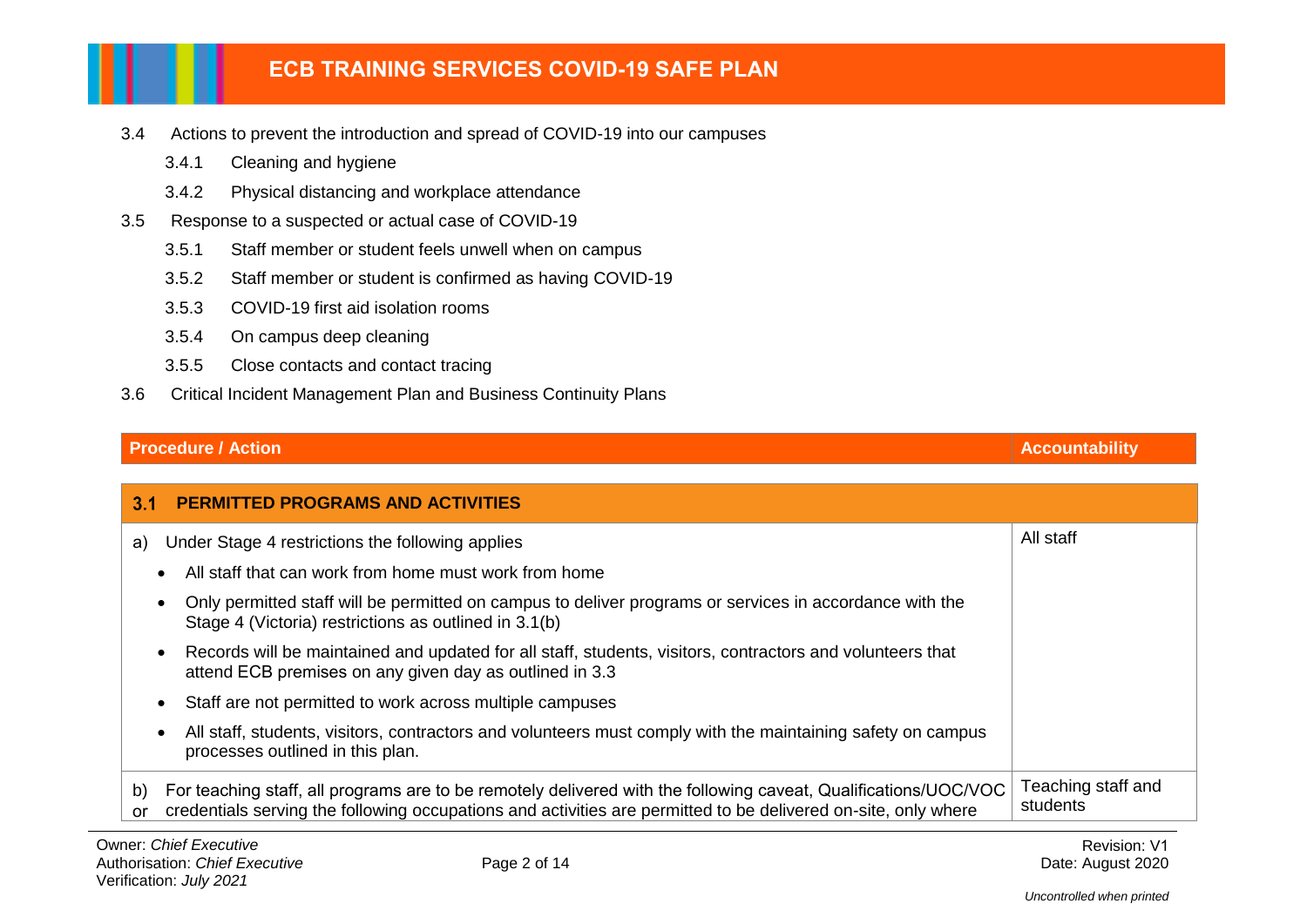- 3.4 Actions to prevent the introduction and spread of COVID-19 into our campuses
	- 3.4.1 Cleaning and hygiene
	- 3.4.2 Physical distancing and workplace attendance
- 3.5 Response to a suspected or actual case of COVID-19
	- 3.5.1 Staff member or student feels unwell when on campus
	- 3.5.2 Staff member or student is confirmed as having COVID-19
	- 3.5.3 COVID-19 first aid isolation rooms
	- 3.5.4 On campus deep cleaning
	- 3.5.5 Close contacts and contact tracing
- 3.6 Critical Incident Management Plan and Business Continuity Plans

### **Procedure / Action Accountability**

| 3.1             | <b>PERMITTED PROGRAMS AND ACTIVITIES</b>                                                                                                                                                                                          |                                |
|-----------------|-----------------------------------------------------------------------------------------------------------------------------------------------------------------------------------------------------------------------------------|--------------------------------|
| a)              | Under Stage 4 restrictions the following applies                                                                                                                                                                                  | All staff                      |
|                 | All staff that can work from home must work from home                                                                                                                                                                             |                                |
|                 | Only permitted staff will be permitted on campus to deliver programs or services in accordance with the<br>Stage 4 (Victoria) restrictions as outlined in 3.1(b)                                                                  |                                |
|                 | Records will be maintained and updated for all staff, students, visitors, contractors and volunteers that<br>attend ECB premises on any given day as outlined in 3.3                                                              |                                |
|                 | Staff are not permitted to work across multiple campuses                                                                                                                                                                          |                                |
|                 | All staff, students, visitors, contractors and volunteers must comply with the maintaining safety on campus<br>processes outlined in this plan.                                                                                   |                                |
| b)<br><b>or</b> | For teaching staff, all programs are to be remotely delivered with the following caveat, Qualifications/UOC/VOC<br>credentials serving the following occupations and activities are permitted to be delivered on-site, only where | Teaching staff and<br>students |

Revision: V1 Date: August 2020

*Uncontrolled when printed*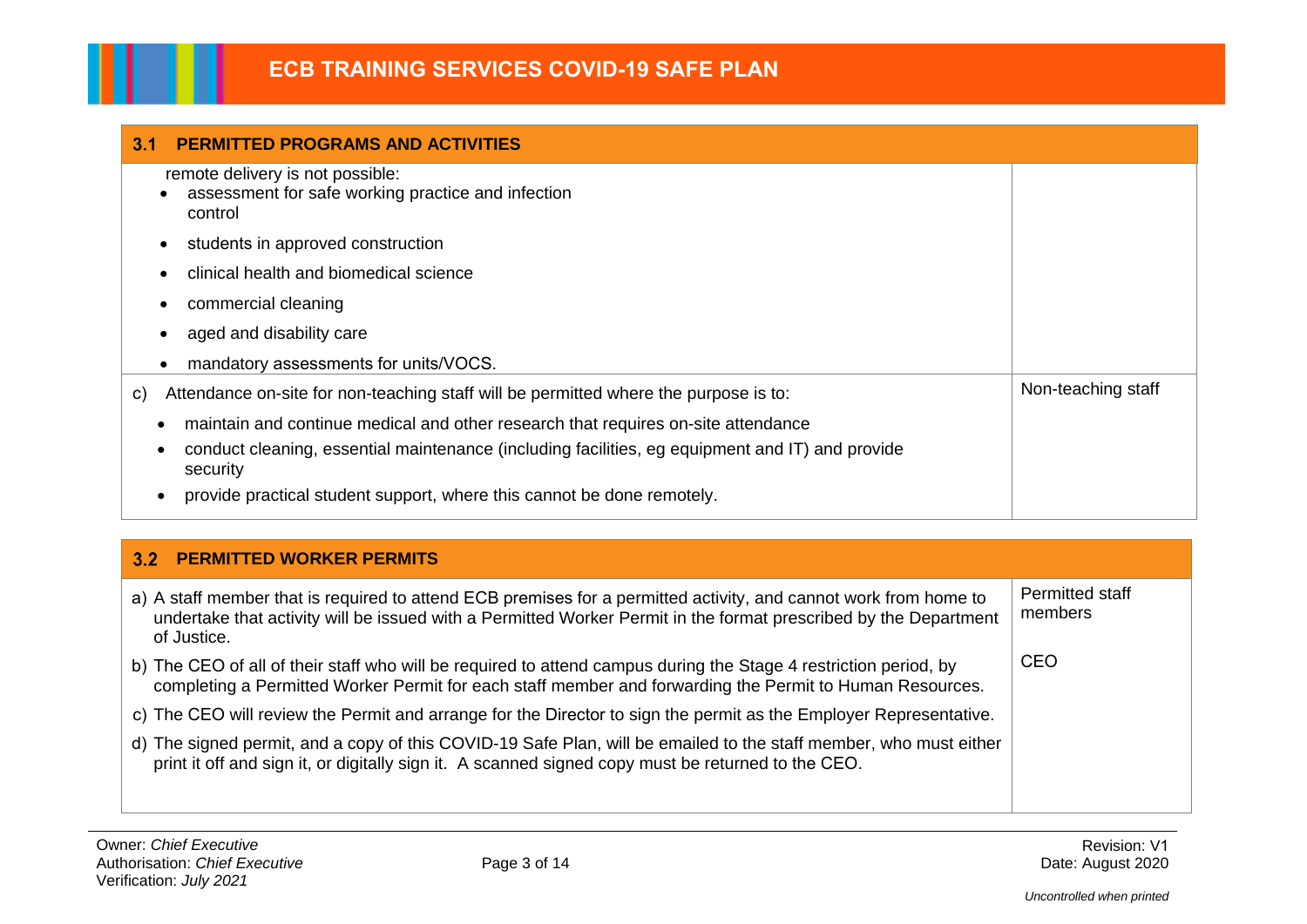| 3.1<br><b>PERMITTED PROGRAMS AND ACTIVITIES</b>                                                                                                                                                                                                                                 |                    |
|---------------------------------------------------------------------------------------------------------------------------------------------------------------------------------------------------------------------------------------------------------------------------------|--------------------|
| remote delivery is not possible:<br>assessment for safe working practice and infection<br>control                                                                                                                                                                               |                    |
| students in approved construction                                                                                                                                                                                                                                               |                    |
| clinical health and biomedical science                                                                                                                                                                                                                                          |                    |
| commercial cleaning                                                                                                                                                                                                                                                             |                    |
| aged and disability care                                                                                                                                                                                                                                                        |                    |
| mandatory assessments for units/VOCS.                                                                                                                                                                                                                                           |                    |
| Attendance on-site for non-teaching staff will be permitted where the purpose is to:<br>C)                                                                                                                                                                                      | Non-teaching staff |
| maintain and continue medical and other research that requires on-site attendance<br>conduct cleaning, essential maintenance (including facilities, eg equipment and IT) and provide<br>٠<br>security<br>provide practical student support, where this cannot be done remotely. |                    |

# **PERMITTED WORKER PERMITS**

| a) A staff member that is required to attend ECB premises for a permitted activity, and cannot work from home to<br>undertake that activity will be issued with a Permitted Worker Permit in the format prescribed by the Department<br>of Justice. | Permitted staff<br>members |
|-----------------------------------------------------------------------------------------------------------------------------------------------------------------------------------------------------------------------------------------------------|----------------------------|
| b) The CEO of all of their staff who will be required to attend campus during the Stage 4 restriction period, by<br>completing a Permitted Worker Permit for each staff member and forwarding the Permit to Human Resources.                        | CEO                        |
| c) The CEO will review the Permit and arrange for the Director to sign the permit as the Employer Representative.                                                                                                                                   |                            |
| d) The signed permit, and a copy of this COVID-19 Safe Plan, will be emailed to the staff member, who must either<br>print it off and sign it, or digitally sign it. A scanned signed copy must be returned to the CEO.                             |                            |
|                                                                                                                                                                                                                                                     |                            |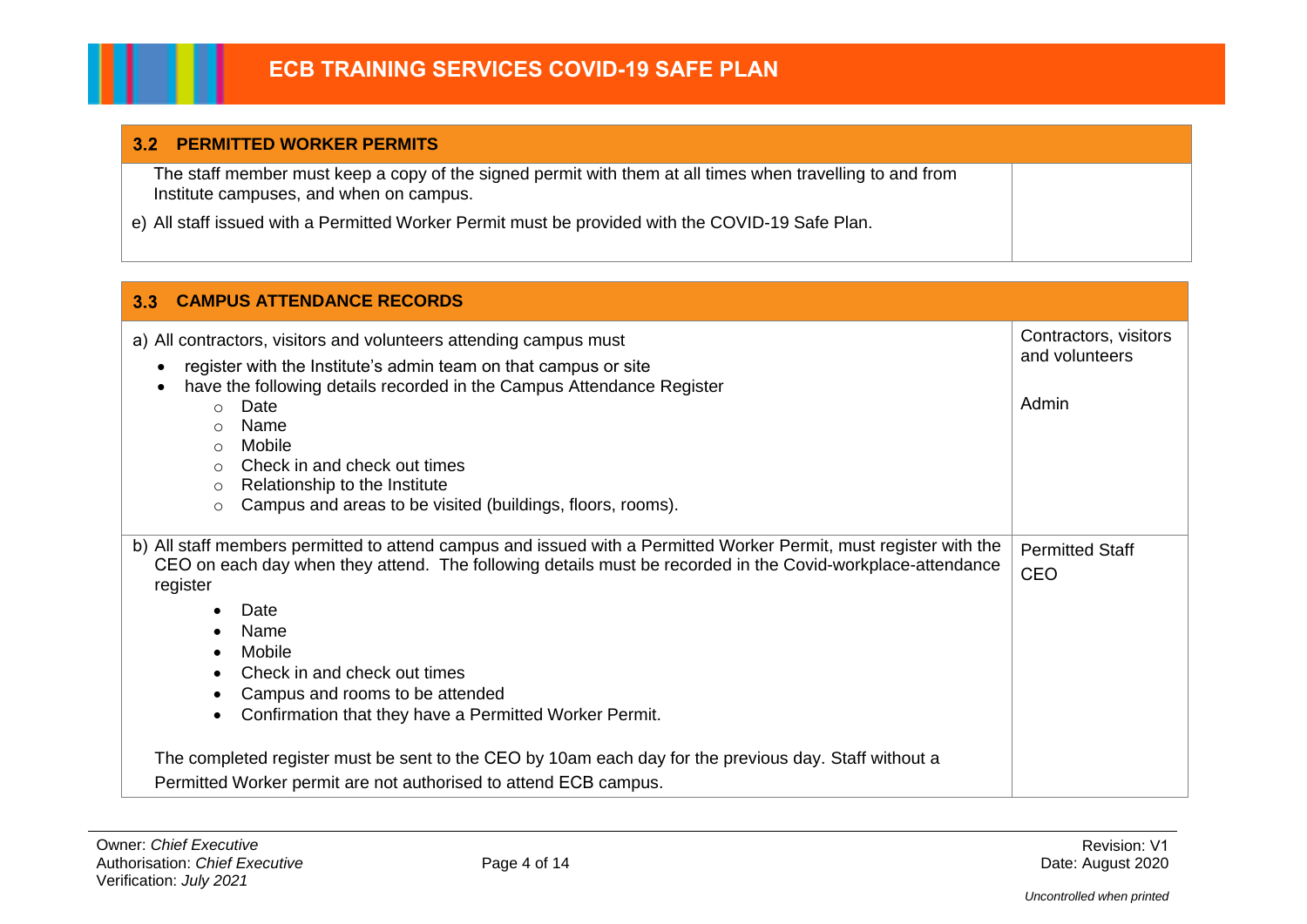#### **PERMITTED WORKER PERMITS**

The staff member must keep a copy of the signed permit with them at all times when travelling to and from Institute campuses, and when on campus.

e) All staff issued with a Permitted Worker Permit must be provided with the COVID-19 Safe Plan.

| 3.3<br><b>CAMPUS ATTENDANCE RECORDS</b>                                                                                                                                                                                                                                                                                                                                                                                                                                                                                                                                         |                                                  |
|---------------------------------------------------------------------------------------------------------------------------------------------------------------------------------------------------------------------------------------------------------------------------------------------------------------------------------------------------------------------------------------------------------------------------------------------------------------------------------------------------------------------------------------------------------------------------------|--------------------------------------------------|
| a) All contractors, visitors and volunteers attending campus must<br>register with the Institute's admin team on that campus or site<br>$\bullet$<br>have the following details recorded in the Campus Attendance Register<br>Date<br>$\bigcirc$<br>Name<br>$\bigcirc$<br>Mobile<br>$\cap$<br>Check in and check out times<br>$\cap$<br>Relationship to the Institute<br>$\circ$<br>Campus and areas to be visited (buildings, floors, rooms).<br>$\circ$                                                                                                                       | Contractors, visitors<br>and volunteers<br>Admin |
| b) All staff members permitted to attend campus and issued with a Permitted Worker Permit, must register with the<br>CEO on each day when they attend. The following details must be recorded in the Covid-workplace-attendance<br>register<br>Date<br>Name<br>Mobile<br>Check in and check out times<br>Campus and rooms to be attended<br>Confirmation that they have a Permitted Worker Permit.<br>The completed register must be sent to the CEO by 10am each day for the previous day. Staff without a<br>Permitted Worker permit are not authorised to attend ECB campus. | <b>Permitted Staff</b><br><b>CEO</b>             |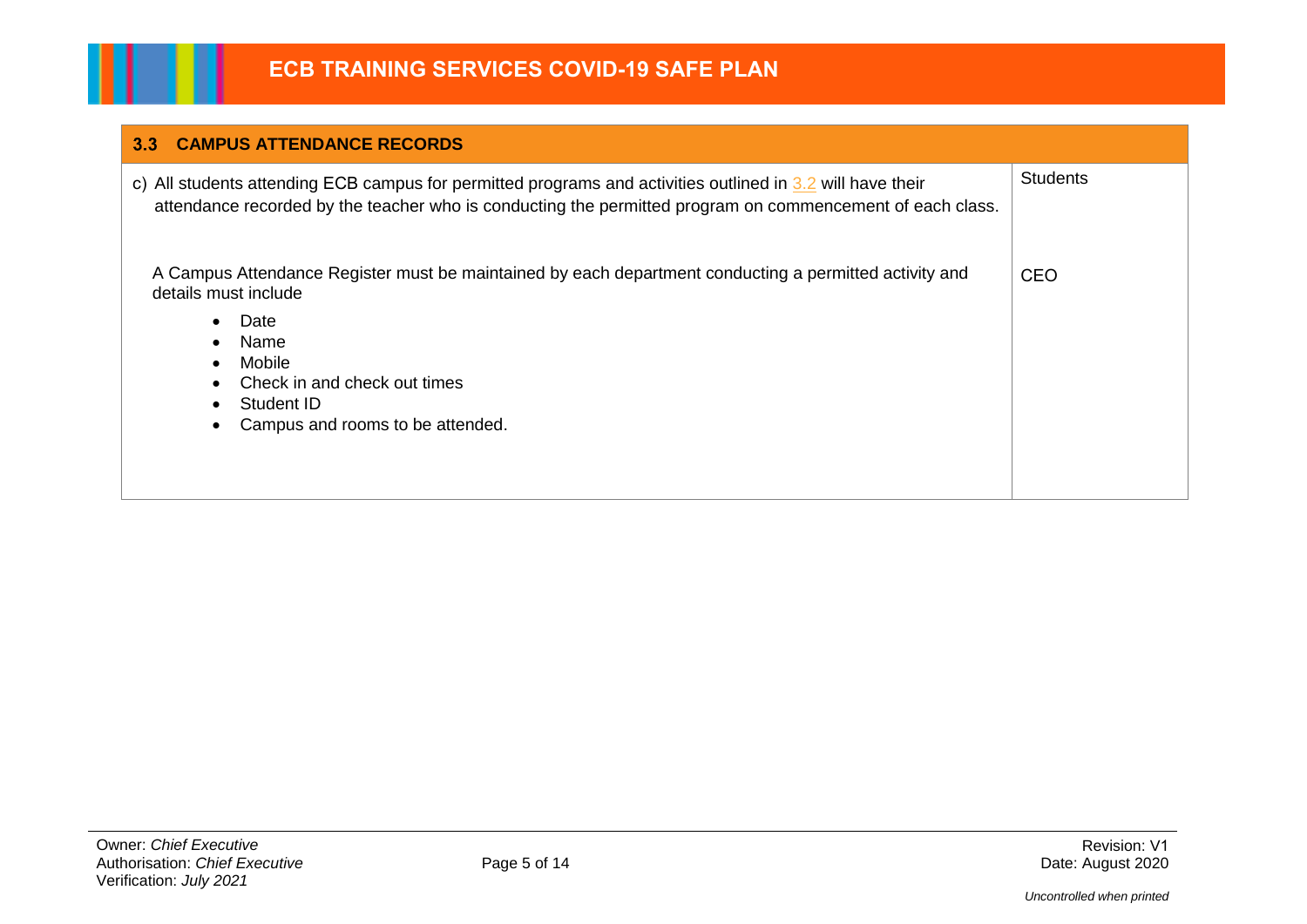| <b>CAMPUS ATTENDANCE RECORDS</b><br>3.3 <sub>1</sub>                                                                                                                                                                                                                              |                 |
|-----------------------------------------------------------------------------------------------------------------------------------------------------------------------------------------------------------------------------------------------------------------------------------|-----------------|
| c) All students attending ECB campus for permitted programs and activities outlined in 3.2 will have their<br>attendance recorded by the teacher who is conducting the permitted program on commencement of each class.                                                           | <b>Students</b> |
| A Campus Attendance Register must be maintained by each department conducting a permitted activity and<br>details must include<br>Date<br>$\bullet$<br>Name<br>$\bullet$<br>Mobile<br>$\bullet$<br>Check in and check out times<br>Student ID<br>Campus and rooms to be attended. | <b>CEO</b>      |

Ш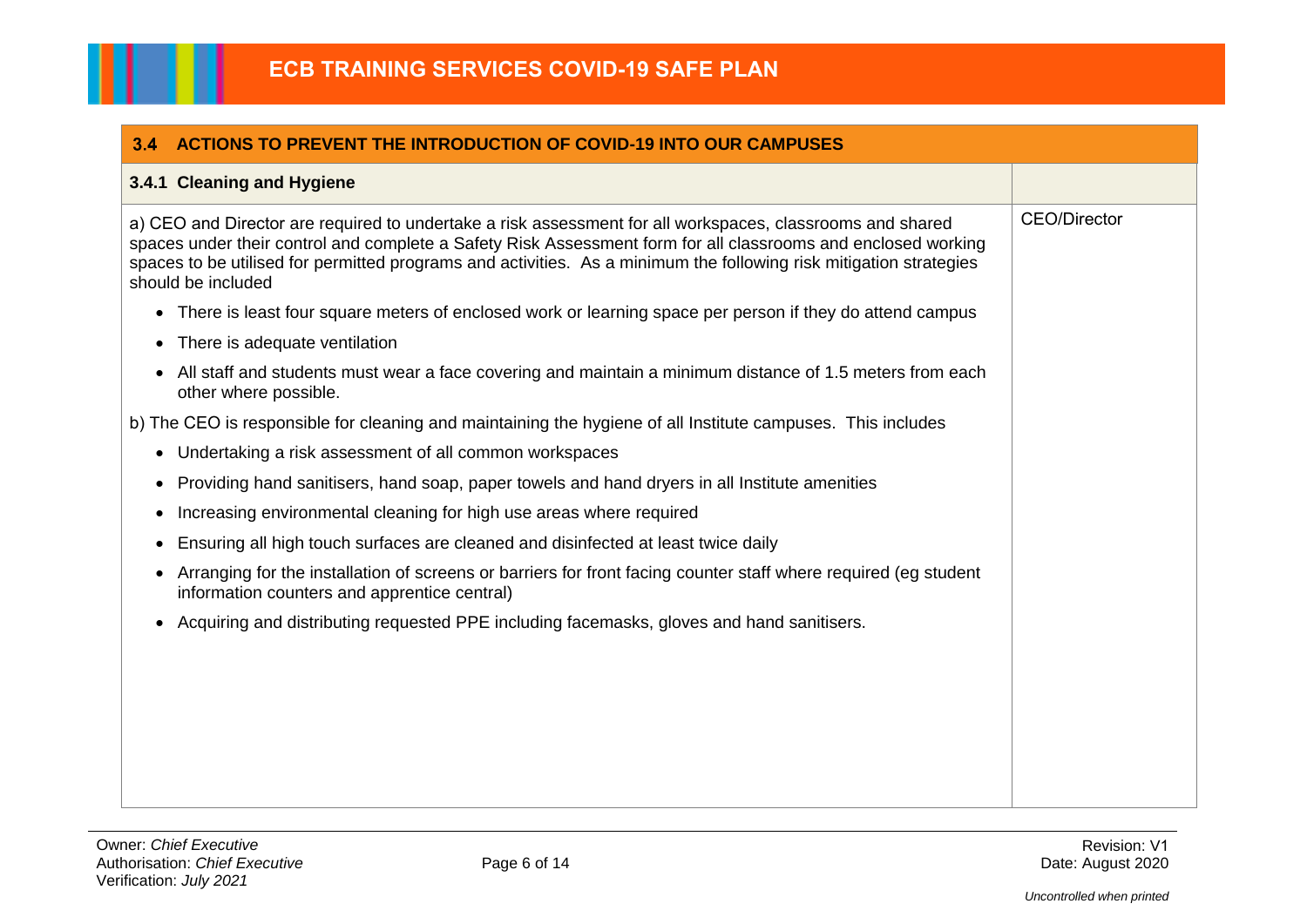| 3.4<br><b>ACTIONS TO PREVENT THE INTRODUCTION OF COVID-19 INTO OUR CAMPUSES</b>                                                                                                                                                                                                                                                                                        |                     |
|------------------------------------------------------------------------------------------------------------------------------------------------------------------------------------------------------------------------------------------------------------------------------------------------------------------------------------------------------------------------|---------------------|
| 3.4.1 Cleaning and Hygiene                                                                                                                                                                                                                                                                                                                                             |                     |
| a) CEO and Director are required to undertake a risk assessment for all workspaces, classrooms and shared<br>spaces under their control and complete a Safety Risk Assessment form for all classrooms and enclosed working<br>spaces to be utilised for permitted programs and activities. As a minimum the following risk mitigation strategies<br>should be included | <b>CEO/Director</b> |
| • There is least four square meters of enclosed work or learning space per person if they do attend campus                                                                                                                                                                                                                                                             |                     |
| There is adequate ventilation                                                                                                                                                                                                                                                                                                                                          |                     |
| All staff and students must wear a face covering and maintain a minimum distance of 1.5 meters from each<br>other where possible.                                                                                                                                                                                                                                      |                     |
| b) The CEO is responsible for cleaning and maintaining the hygiene of all Institute campuses. This includes                                                                                                                                                                                                                                                            |                     |
| • Undertaking a risk assessment of all common workspaces                                                                                                                                                                                                                                                                                                               |                     |
| Providing hand sanitisers, hand soap, paper towels and hand dryers in all Institute amenities<br>$\bullet$                                                                                                                                                                                                                                                             |                     |
| Increasing environmental cleaning for high use areas where required                                                                                                                                                                                                                                                                                                    |                     |
| Ensuring all high touch surfaces are cleaned and disinfected at least twice daily<br>$\bullet$                                                                                                                                                                                                                                                                         |                     |
| Arranging for the installation of screens or barriers for front facing counter staff where required (eg student<br>information counters and apprentice central)                                                                                                                                                                                                        |                     |
| Acquiring and distributing requested PPE including facemasks, gloves and hand sanitisers.                                                                                                                                                                                                                                                                              |                     |
|                                                                                                                                                                                                                                                                                                                                                                        |                     |
|                                                                                                                                                                                                                                                                                                                                                                        |                     |
|                                                                                                                                                                                                                                                                                                                                                                        |                     |
|                                                                                                                                                                                                                                                                                                                                                                        |                     |
|                                                                                                                                                                                                                                                                                                                                                                        |                     |
|                                                                                                                                                                                                                                                                                                                                                                        |                     |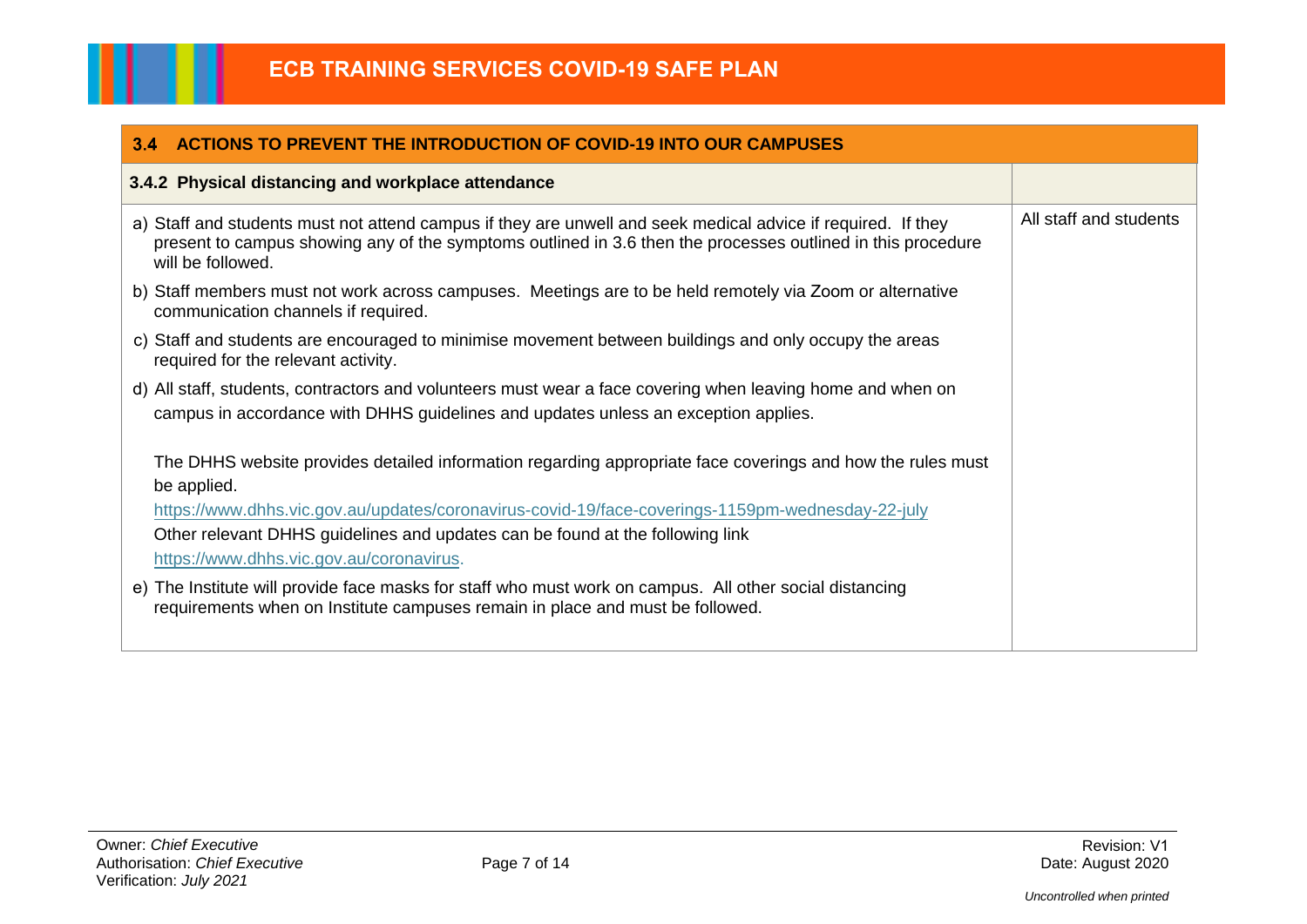| <b>ACTIONS TO PREVENT THE INTRODUCTION OF COVID-19 INTO OUR CAMPUSES</b><br>3.4                                                                                                                                                                  |                        |
|--------------------------------------------------------------------------------------------------------------------------------------------------------------------------------------------------------------------------------------------------|------------------------|
| 3.4.2 Physical distancing and workplace attendance                                                                                                                                                                                               |                        |
| a) Staff and students must not attend campus if they are unwell and seek medical advice if required. If they<br>present to campus showing any of the symptoms outlined in 3.6 then the processes outlined in this procedure<br>will be followed. | All staff and students |
| b) Staff members must not work across campuses. Meetings are to be held remotely via Zoom or alternative<br>communication channels if required.                                                                                                  |                        |
| c) Staff and students are encouraged to minimise movement between buildings and only occupy the areas<br>required for the relevant activity.                                                                                                     |                        |
| d) All staff, students, contractors and volunteers must wear a face covering when leaving home and when on<br>campus in accordance with DHHS guidelines and updates unless an exception applies.                                                 |                        |
| The DHHS website provides detailed information regarding appropriate face coverings and how the rules must<br>be applied.                                                                                                                        |                        |
| https://www.dhhs.vic.gov.au/updates/coronavirus-covid-19/face-coverings-1159pm-wednesday-22-july<br>Other relevant DHHS guidelines and updates can be found at the following link<br>https://www.dhhs.vic.gov.au/coronavirus.                    |                        |
| e) The Institute will provide face masks for staff who must work on campus. All other social distancing<br>requirements when on Institute campuses remain in place and must be followed.                                                         |                        |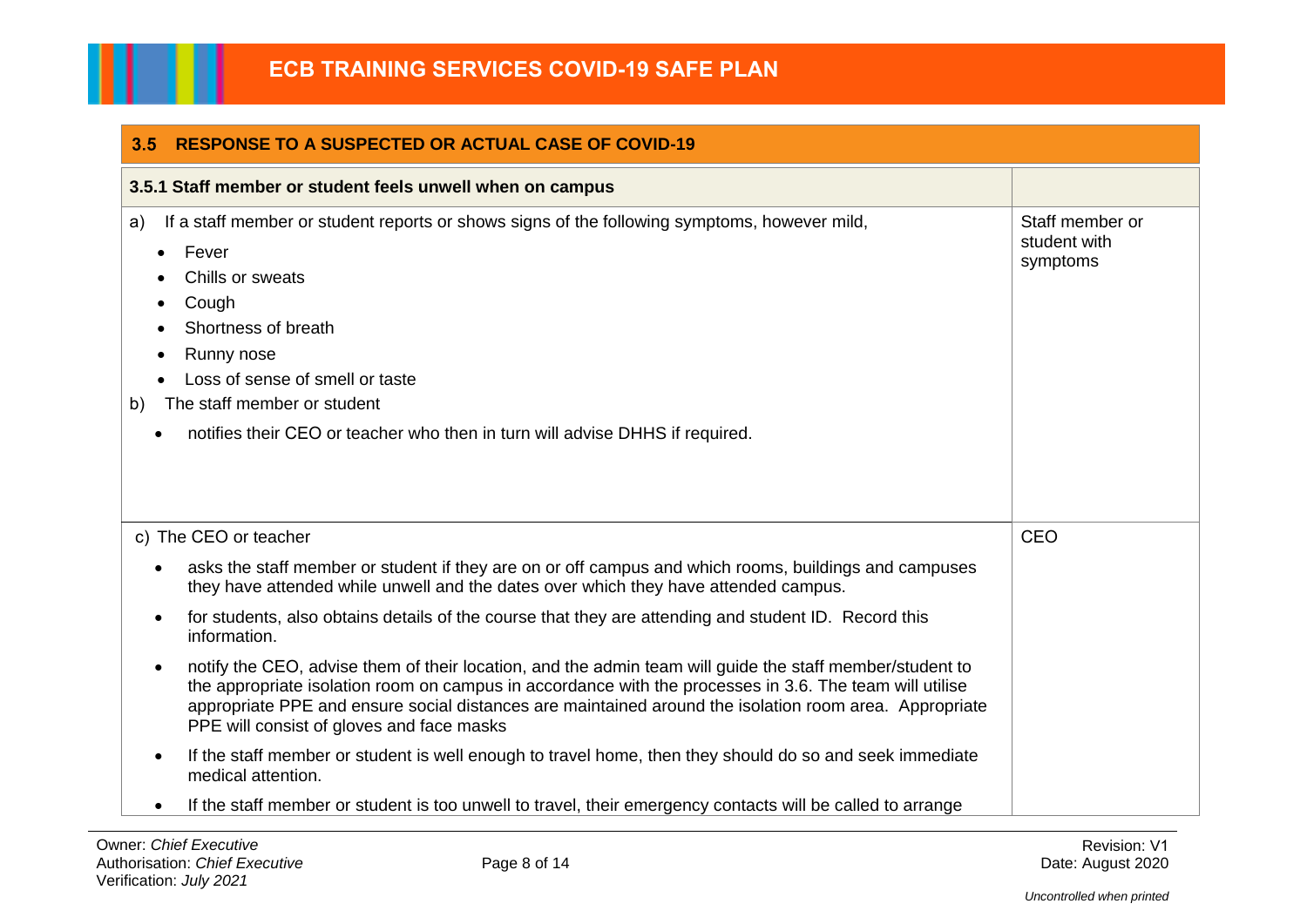| <b>RESPONSE TO A SUSPECTED OR ACTUAL CASE OF COVID-19</b><br>3.5                                                                                                                                                                                                                                                                                                           |                                             |  |
|----------------------------------------------------------------------------------------------------------------------------------------------------------------------------------------------------------------------------------------------------------------------------------------------------------------------------------------------------------------------------|---------------------------------------------|--|
| 3.5.1 Staff member or student feels unwell when on campus                                                                                                                                                                                                                                                                                                                  |                                             |  |
| If a staff member or student reports or shows signs of the following symptoms, however mild,<br>a)<br>Fever<br>$\bullet$<br>Chills or sweats<br>Cough<br>Shortness of breath<br>Runny nose<br>$\bullet$<br>Loss of sense of smell or taste<br>The staff member or student<br>b)<br>notifies their CEO or teacher who then in turn will advise DHHS if required.            | Staff member or<br>student with<br>symptoms |  |
| c) The CEO or teacher                                                                                                                                                                                                                                                                                                                                                      | CEO                                         |  |
| asks the staff member or student if they are on or off campus and which rooms, buildings and campuses<br>they have attended while unwell and the dates over which they have attended campus.                                                                                                                                                                               |                                             |  |
| for students, also obtains details of the course that they are attending and student ID. Record this<br>information.                                                                                                                                                                                                                                                       |                                             |  |
| notify the CEO, advise them of their location, and the admin team will guide the staff member/student to<br>the appropriate isolation room on campus in accordance with the processes in 3.6. The team will utilise<br>appropriate PPE and ensure social distances are maintained around the isolation room area. Appropriate<br>PPE will consist of gloves and face masks |                                             |  |
| If the staff member or student is well enough to travel home, then they should do so and seek immediate<br>$\bullet$<br>medical attention.                                                                                                                                                                                                                                 |                                             |  |
| If the staff member or student is too unwell to travel, their emergency contacts will be called to arrange                                                                                                                                                                                                                                                                 |                                             |  |

Ш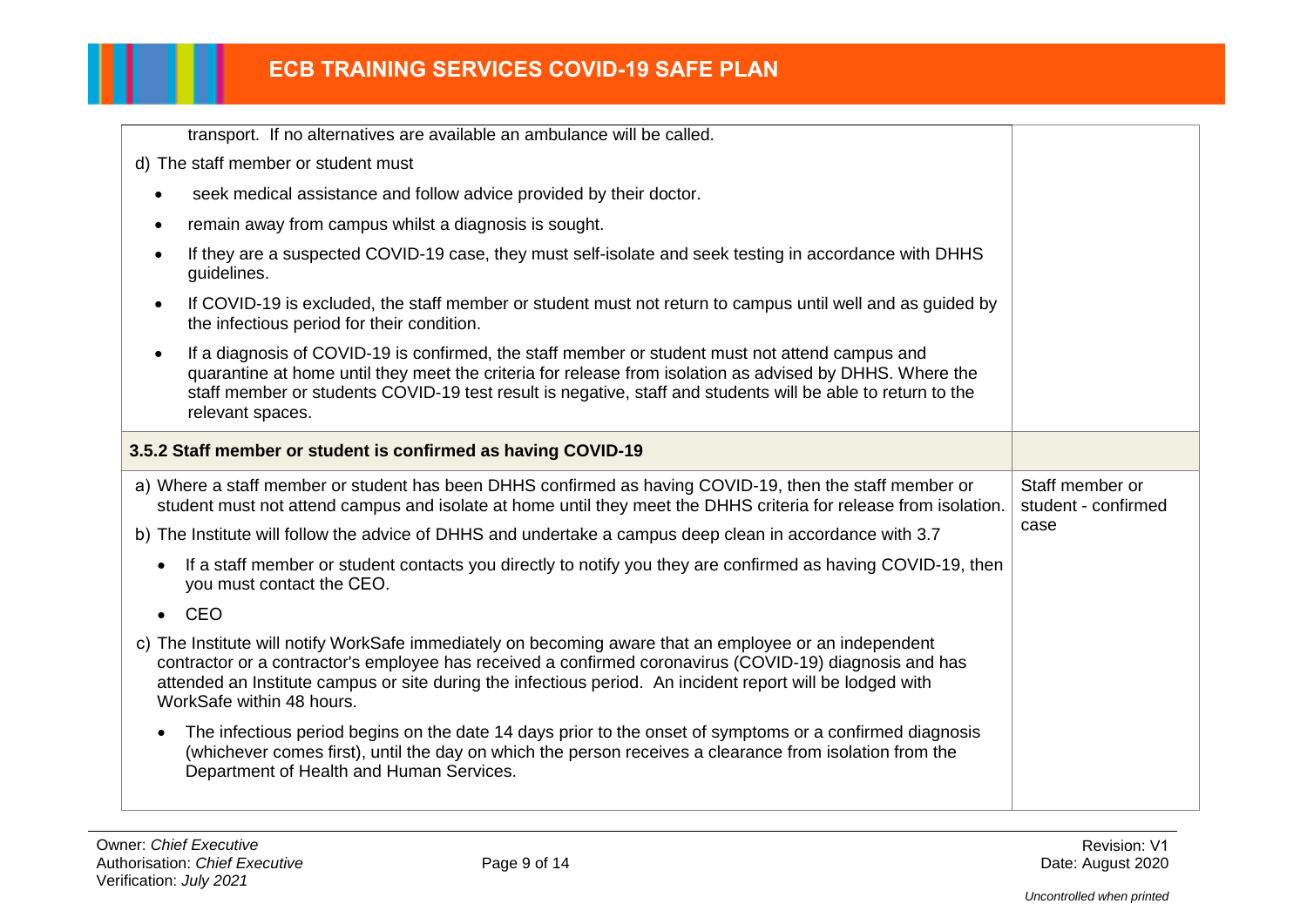| transport. If no alternatives are available an ambulance will be called.                                                                                                                                                                                                                                                                                    |                                        |
|-------------------------------------------------------------------------------------------------------------------------------------------------------------------------------------------------------------------------------------------------------------------------------------------------------------------------------------------------------------|----------------------------------------|
| d) The staff member or student must                                                                                                                                                                                                                                                                                                                         |                                        |
| seek medical assistance and follow advice provided by their doctor.                                                                                                                                                                                                                                                                                         |                                        |
| remain away from campus whilst a diagnosis is sought.<br>$\bullet$                                                                                                                                                                                                                                                                                          |                                        |
| If they are a suspected COVID-19 case, they must self-isolate and seek testing in accordance with DHHS<br>$\bullet$<br>guidelines.                                                                                                                                                                                                                          |                                        |
| If COVID-19 is excluded, the staff member or student must not return to campus until well and as quided by<br>$\bullet$<br>the infectious period for their condition.                                                                                                                                                                                       |                                        |
| If a diagnosis of COVID-19 is confirmed, the staff member or student must not attend campus and<br>$\bullet$<br>quarantine at home until they meet the criteria for release from isolation as advised by DHHS. Where the<br>staff member or students COVID-19 test result is negative, staff and students will be able to return to the<br>relevant spaces. |                                        |
| 3.5.2 Staff member or student is confirmed as having COVID-19                                                                                                                                                                                                                                                                                               |                                        |
|                                                                                                                                                                                                                                                                                                                                                             |                                        |
| a) Where a staff member or student has been DHHS confirmed as having COVID-19, then the staff member or<br>student must not attend campus and isolate at home until they meet the DHHS criteria for release from isolation.                                                                                                                                 | Staff member or<br>student - confirmed |
| b) The Institute will follow the advice of DHHS and undertake a campus deep clean in accordance with 3.7                                                                                                                                                                                                                                                    | case                                   |
| If a staff member or student contacts you directly to notify you they are confirmed as having COVID-19, then<br>$\bullet$<br>you must contact the CEO.                                                                                                                                                                                                      |                                        |
| CEO<br>$\bullet$                                                                                                                                                                                                                                                                                                                                            |                                        |
| c) The Institute will notify WorkSafe immediately on becoming aware that an employee or an independent<br>contractor or a contractor's employee has received a confirmed coronavirus (COVID-19) diagnosis and has<br>attended an Institute campus or site during the infectious period. An incident report will be lodged with<br>WorkSafe within 48 hours. |                                        |
| The infectious period begins on the date 14 days prior to the onset of symptoms or a confirmed diagnosis<br>$\bullet$<br>(whichever comes first), until the day on which the person receives a clearance from isolation from the<br>Department of Health and Human Services.                                                                                |                                        |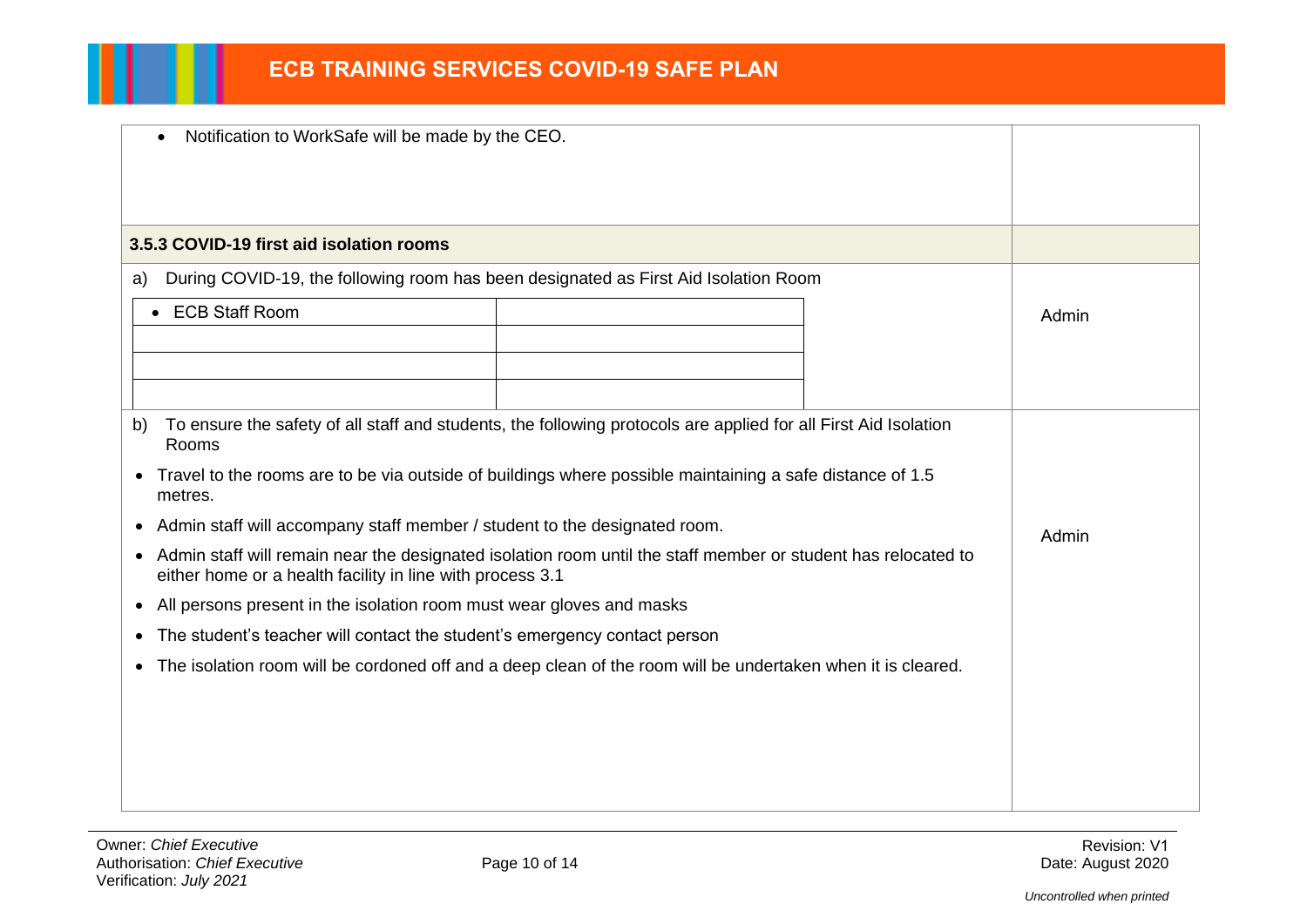| Notification to WorkSafe will be made by the CEO.                                                                                                                                       |  |       |       |
|-----------------------------------------------------------------------------------------------------------------------------------------------------------------------------------------|--|-------|-------|
|                                                                                                                                                                                         |  |       |       |
| 3.5.3 COVID-19 first aid isolation rooms                                                                                                                                                |  |       |       |
| During COVID-19, the following room has been designated as First Aid Isolation Room<br>a)                                                                                               |  |       |       |
| <b>ECB Staff Room</b><br>$\bullet$                                                                                                                                                      |  |       | Admin |
|                                                                                                                                                                                         |  |       |       |
|                                                                                                                                                                                         |  |       |       |
| To ensure the safety of all staff and students, the following protocols are applied for all First Aid Isolation<br>b)<br>Rooms                                                          |  |       |       |
| • Travel to the rooms are to be via outside of buildings where possible maintaining a safe distance of 1.5<br>metres.                                                                   |  |       |       |
| Admin staff will accompany staff member / student to the designated room.                                                                                                               |  | Admin |       |
| Admin staff will remain near the designated isolation room until the staff member or student has relocated to<br>$\bullet$<br>either home or a health facility in line with process 3.1 |  |       |       |
| All persons present in the isolation room must wear gloves and masks<br>$\bullet$                                                                                                       |  |       |       |
| The student's teacher will contact the student's emergency contact person<br>$\bullet$                                                                                                  |  |       |       |
| The isolation room will be cordoned off and a deep clean of the room will be undertaken when it is cleared.<br>$\bullet$                                                                |  |       |       |
|                                                                                                                                                                                         |  |       |       |
|                                                                                                                                                                                         |  |       |       |
|                                                                                                                                                                                         |  |       |       |
|                                                                                                                                                                                         |  |       |       |

Ш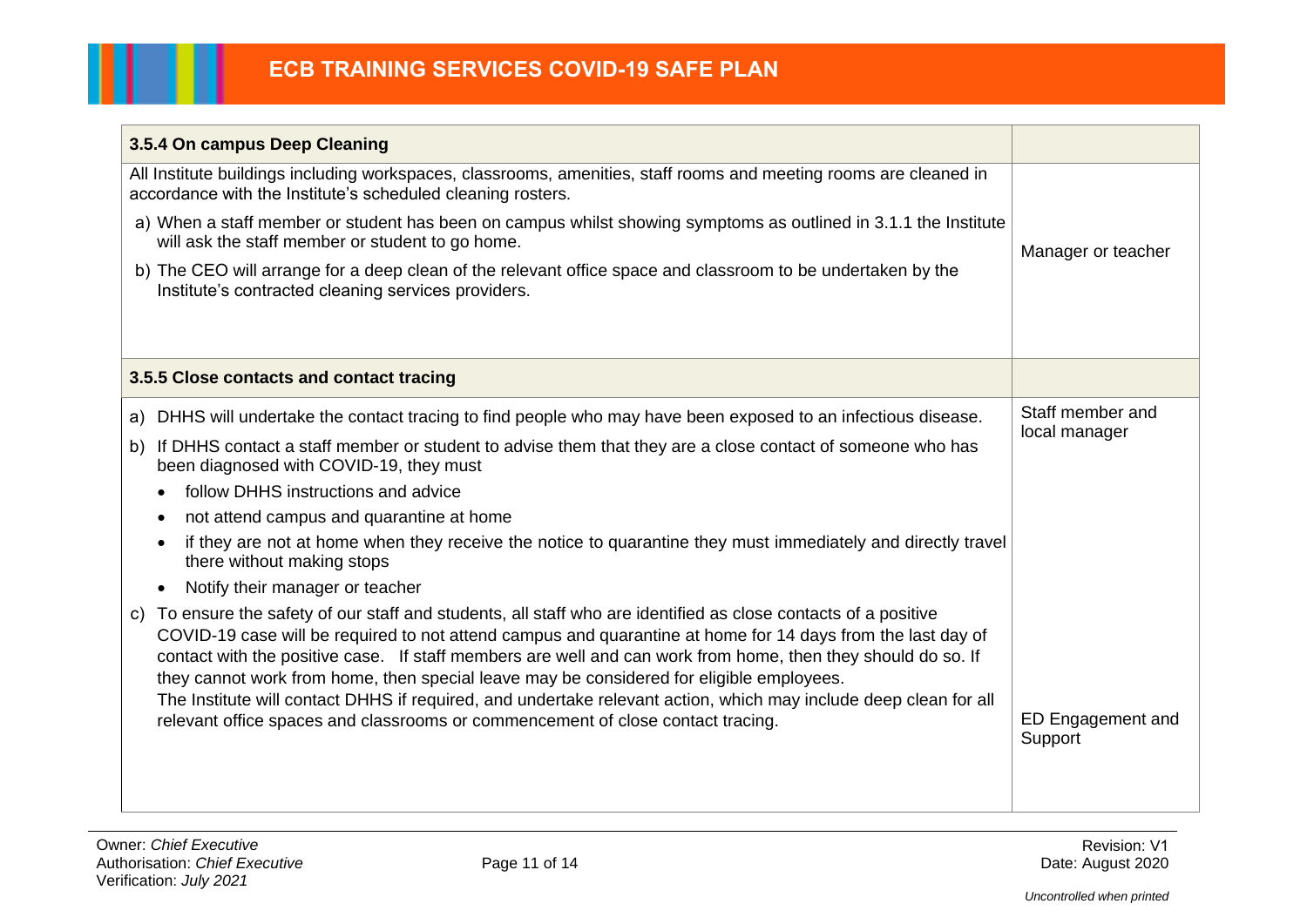| 3.5.4 On campus Deep Cleaning                                                                                                                                                                                                                                                                                                                                                                                                                                                                                                                                     |                              |  |
|-------------------------------------------------------------------------------------------------------------------------------------------------------------------------------------------------------------------------------------------------------------------------------------------------------------------------------------------------------------------------------------------------------------------------------------------------------------------------------------------------------------------------------------------------------------------|------------------------------|--|
| All Institute buildings including workspaces, classrooms, amenities, staff rooms and meeting rooms are cleaned in<br>accordance with the Institute's scheduled cleaning rosters.                                                                                                                                                                                                                                                                                                                                                                                  |                              |  |
| a) When a staff member or student has been on campus whilst showing symptoms as outlined in 3.1.1 the Institute<br>will ask the staff member or student to go home.                                                                                                                                                                                                                                                                                                                                                                                               | Manager or teacher           |  |
| b) The CEO will arrange for a deep clean of the relevant office space and classroom to be undertaken by the<br>Institute's contracted cleaning services providers.                                                                                                                                                                                                                                                                                                                                                                                                |                              |  |
|                                                                                                                                                                                                                                                                                                                                                                                                                                                                                                                                                                   |                              |  |
| 3.5.5 Close contacts and contact tracing                                                                                                                                                                                                                                                                                                                                                                                                                                                                                                                          |                              |  |
| DHHS will undertake the contact tracing to find people who may have been exposed to an infectious disease.<br>a)                                                                                                                                                                                                                                                                                                                                                                                                                                                  | Staff member and             |  |
| If DHHS contact a staff member or student to advise them that they are a close contact of someone who has<br>b)<br>been diagnosed with COVID-19, they must                                                                                                                                                                                                                                                                                                                                                                                                        | local manager                |  |
| follow DHHS instructions and advice                                                                                                                                                                                                                                                                                                                                                                                                                                                                                                                               |                              |  |
| not attend campus and quarantine at home                                                                                                                                                                                                                                                                                                                                                                                                                                                                                                                          |                              |  |
| if they are not at home when they receive the notice to quarantine they must immediately and directly travel<br>there without making stops                                                                                                                                                                                                                                                                                                                                                                                                                        |                              |  |
| Notify their manager or teacher<br>$\bullet$                                                                                                                                                                                                                                                                                                                                                                                                                                                                                                                      |                              |  |
| To ensure the safety of our staff and students, all staff who are identified as close contacts of a positive<br>C)<br>COVID-19 case will be required to not attend campus and quarantine at home for 14 days from the last day of<br>contact with the positive case. If staff members are well and can work from home, then they should do so. If<br>they cannot work from home, then special leave may be considered for eligible employees.<br>The Institute will contact DHHS if required, and undertake relevant action, which may include deep clean for all |                              |  |
| relevant office spaces and classrooms or commencement of close contact tracing.                                                                                                                                                                                                                                                                                                                                                                                                                                                                                   | ED Engagement and<br>Support |  |
|                                                                                                                                                                                                                                                                                                                                                                                                                                                                                                                                                                   |                              |  |

П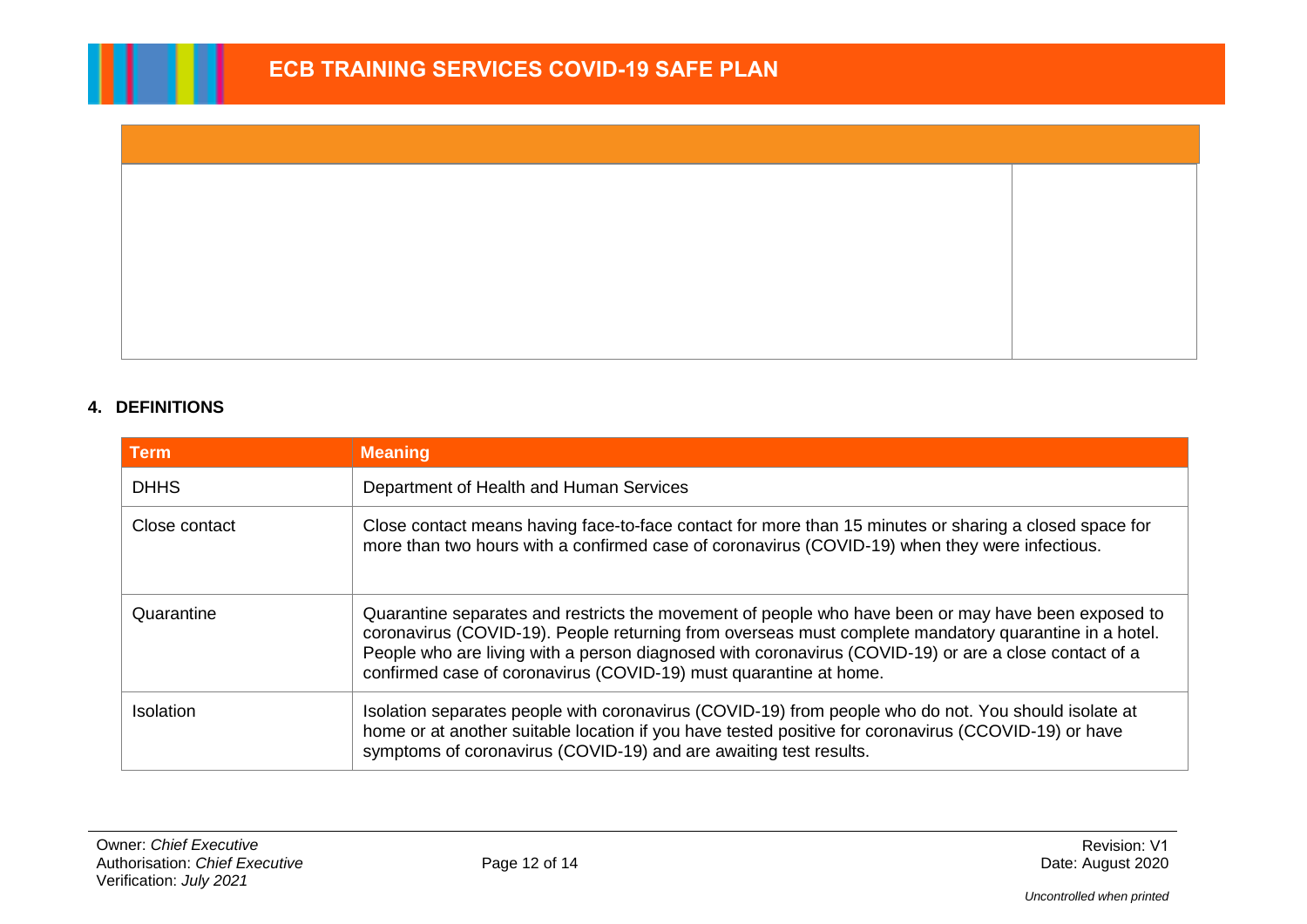### **4. DEFINITIONS**

| <b>Term</b>      | <b>Meaning</b>                                                                                                                                                                                                                                                                                                                                                                             |  |
|------------------|--------------------------------------------------------------------------------------------------------------------------------------------------------------------------------------------------------------------------------------------------------------------------------------------------------------------------------------------------------------------------------------------|--|
| <b>DHHS</b>      | Department of Health and Human Services                                                                                                                                                                                                                                                                                                                                                    |  |
| Close contact    | Close contact means having face-to-face contact for more than 15 minutes or sharing a closed space for<br>more than two hours with a confirmed case of coronavirus (COVID-19) when they were infectious.                                                                                                                                                                                   |  |
| Quarantine       | Quarantine separates and restricts the movement of people who have been or may have been exposed to<br>coronavirus (COVID-19). People returning from overseas must complete mandatory quarantine in a hotel.<br>People who are living with a person diagnosed with coronavirus (COVID-19) or are a close contact of a<br>confirmed case of coronavirus (COVID-19) must quarantine at home. |  |
| <b>Isolation</b> | Isolation separates people with coronavirus (COVID-19) from people who do not. You should isolate at<br>home or at another suitable location if you have tested positive for coronavirus (CCOVID-19) or have<br>symptoms of coronavirus (COVID-19) and are awaiting test results.                                                                                                          |  |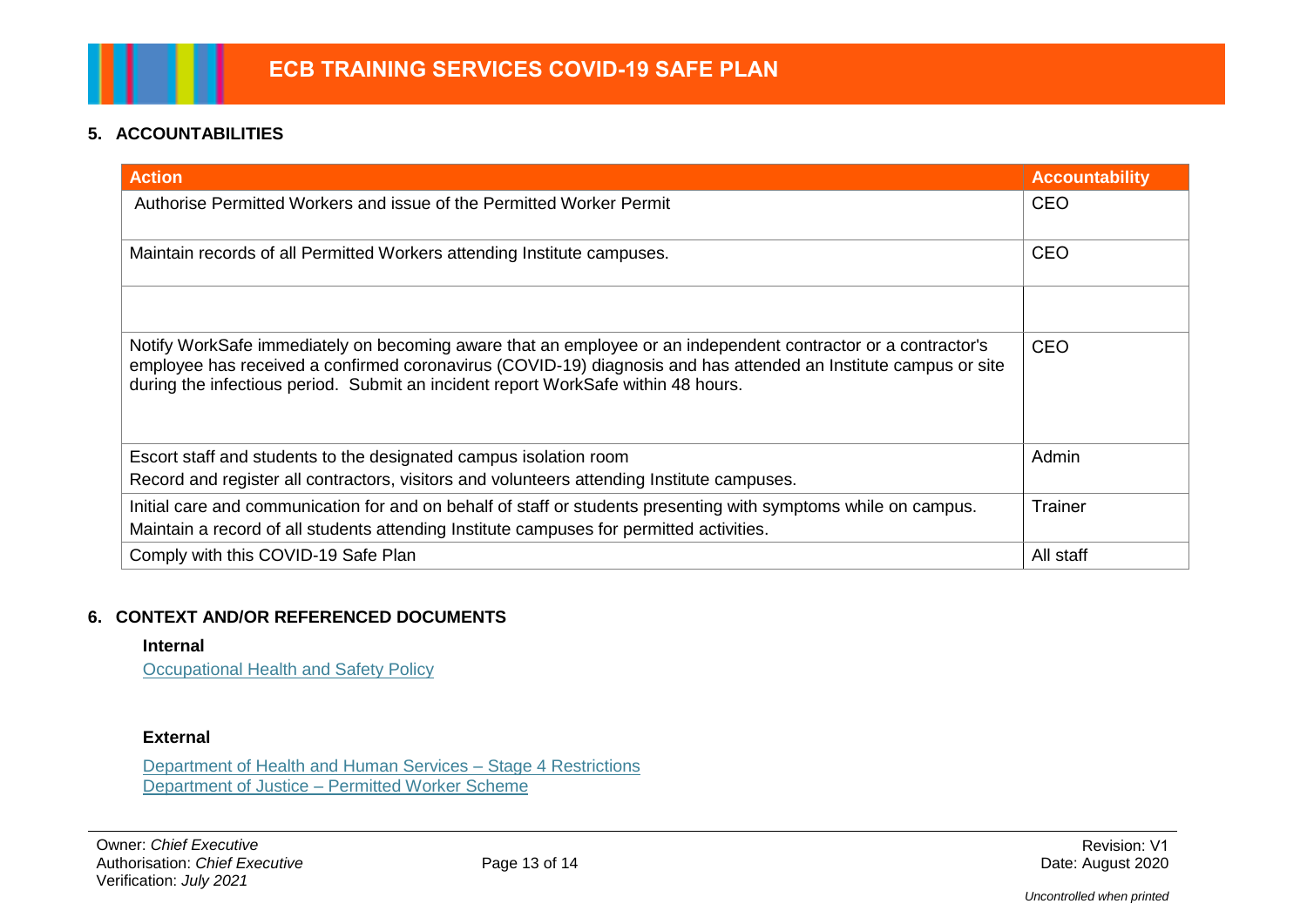# **5. ACCOUNTABILITIES**

| <b>Action</b>                                                                                                                                                                                                                                                                                                         | <b>Accountability</b> |
|-----------------------------------------------------------------------------------------------------------------------------------------------------------------------------------------------------------------------------------------------------------------------------------------------------------------------|-----------------------|
| Authorise Permitted Workers and issue of the Permitted Worker Permit                                                                                                                                                                                                                                                  | <b>CEO</b>            |
| Maintain records of all Permitted Workers attending Institute campuses.                                                                                                                                                                                                                                               | <b>CEO</b>            |
|                                                                                                                                                                                                                                                                                                                       |                       |
| Notify WorkSafe immediately on becoming aware that an employee or an independent contractor or a contractor's<br>employee has received a confirmed coronavirus (COVID-19) diagnosis and has attended an Institute campus or site<br>during the infectious period. Submit an incident report WorkSafe within 48 hours. | <b>CEO</b>            |
| Escort staff and students to the designated campus isolation room<br>Record and register all contractors, visitors and volunteers attending Institute campuses.                                                                                                                                                       | Admin                 |
| Initial care and communication for and on behalf of staff or students presenting with symptoms while on campus.<br>Maintain a record of all students attending Institute campuses for permitted activities.                                                                                                           | Trainer               |
| Comply with this COVID-19 Safe Plan                                                                                                                                                                                                                                                                                   | All staff             |

#### **6. CONTEXT AND/OR REFERENCED DOCUMENTS**

#### **Internal**

[Occupational Health and Safety Policy](http://staffnet.holmesglen.vic.edu.au/hitms/download.cfm?id=OHS_Policy.pdf)

#### **External**

[Department of Health and Human Services –](https://www.dhhs.vic.gov.au/stage-4-restrictions-covid-19) Stage 4 Restrictions Department of Justice – [Permitted Worker Scheme](https://www.justice.vic.gov.au/permitted-worker-scheme)